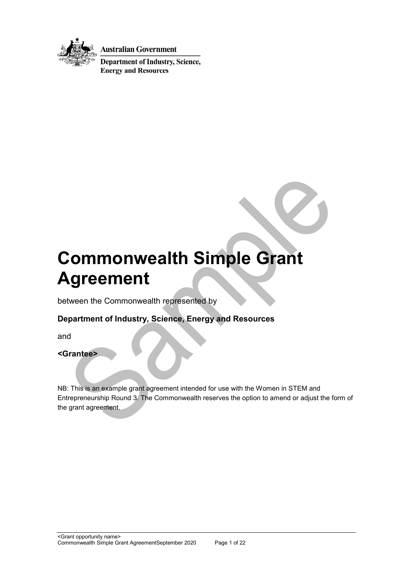

**Australian Government** 

**Department of Industry, Science, Energy and Resources** 

# **Commonwealth Simple Grant Agreement**

between the Commonwealth represented by

## **Department of Industry, Science, Energy and Resources**

and

### **<Grantee>**

NB: This is an example grant agreement intended for use with the Women in STEM and Entrepreneurship Round 3. The Commonwealth reserves the option to amend or adjust the form of the grant agreement.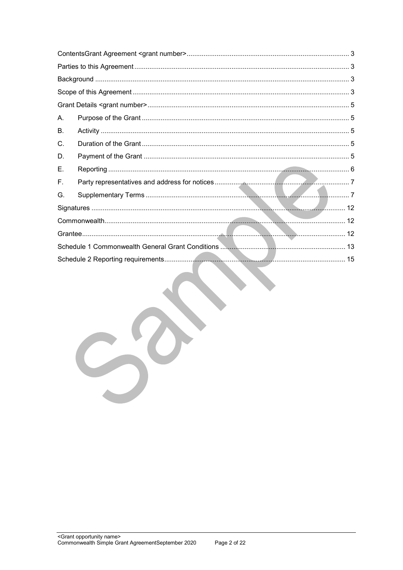| А. |  |
|----|--|
| В. |  |
| C. |  |
| D. |  |
| Ε. |  |
| F. |  |
| G. |  |
|    |  |
|    |  |
|    |  |
|    |  |
|    |  |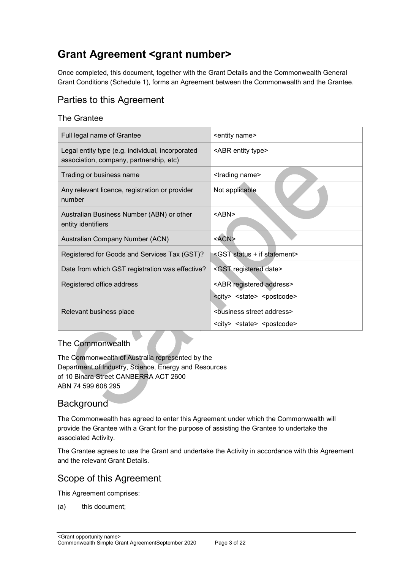## <span id="page-2-0"></span>**Grant Agreement <grant number>**

Once completed, this document, together with the Grant Details and the Commonwealth General Grant Conditions (Schedule 1), forms an Agreement between the Commonwealth and the Grantee.

## <span id="page-2-1"></span>Parties to this Agreement

## The Grantee

| Full legal name of Grantee                                                                  | <entity name=""></entity>                           |
|---------------------------------------------------------------------------------------------|-----------------------------------------------------|
| Legal entity type (e.g. individual, incorporated<br>association, company, partnership, etc) | <abr entity="" type=""></abr>                       |
| Trading or business name                                                                    | <trading name=""></trading>                         |
| Any relevant licence, registration or provider<br>number                                    | Not applicable                                      |
| Australian Business Number (ABN) or other<br>entity identifiers                             | <abn></abn>                                         |
| Australian Company Number (ACN)                                                             | <acn></acn>                                         |
| Registered for Goods and Services Tax (GST)?                                                | <gst +="" if="" statement="" status=""></gst>       |
| Date from which GST registration was effective?                                             | <gst date="" registered=""></gst>                   |
| Registered office address                                                                   | <abr address="" registered=""></abr>                |
|                                                                                             | <city> <state> <postcode></postcode></state></city> |
| Relevant business place                                                                     | <business address="" street=""></business>          |
|                                                                                             | <city> <state> <postcode></postcode></state></city> |

### The Commonwealth

The Commonwealth of Australia represented by the Department of Industry, Science, Energy and Resources of 10 Binara Street CANBERRA ACT 2600 ABN 74 599 608 295

## <span id="page-2-2"></span>**Background**

The Commonwealth has agreed to enter this Agreement under which the Commonwealth will provide the Grantee with a Grant for the purpose of assisting the Grantee to undertake the associated Activity.

The Grantee agrees to use the Grant and undertake the Activity in accordance with this Agreement and the relevant Grant Details.

## <span id="page-2-3"></span>Scope of this Agreement

This Agreement comprises:

(a) this document;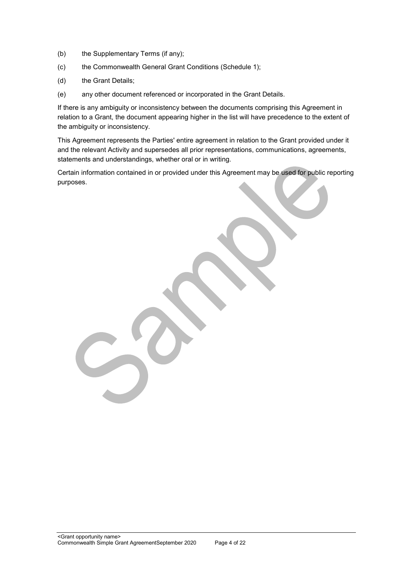- (b) the Supplementary Terms (if any);
- (c) the Commonwealth General Grant Conditions (Schedule 1);
- (d) the Grant Details;
- (e) any other document referenced or incorporated in the Grant Details.

If there is any ambiguity or inconsistency between the documents comprising this Agreement in relation to a Grant, the document appearing higher in the list will have precedence to the extent of the ambiguity or inconsistency.

This Agreement represents the Parties' entire agreement in relation to the Grant provided under it and the relevant Activity and supersedes all prior representations, communications, agreements, statements and understandings, whether oral or in writing.

Certain information contained in or provided under this Agreement may be used for public reporting purposes.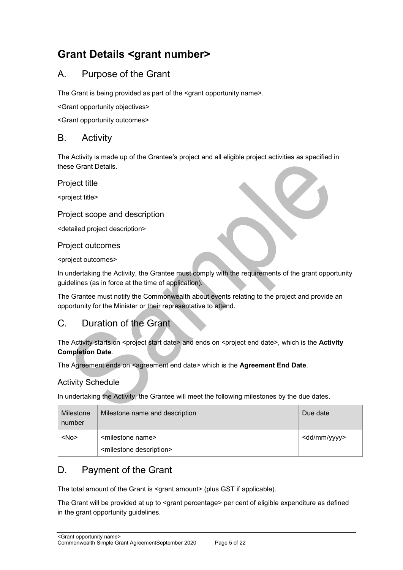## <span id="page-4-0"></span>**Grant Details <grant number>**

## <span id="page-4-1"></span>A. Purpose of the Grant

The Grant is being provided as part of the <grant opportunity name>.

<Grant opportunity objectives>

<Grant opportunity outcomes>

## <span id="page-4-2"></span>B. Activity

The Activity is made up of the Grantee's project and all eligible project activities as specified in these Grant Details.

Project title

<project title>

### Project scope and description

<detailed project description>

#### Project outcomes

<project outcomes>

In undertaking the Activity, the Grantee must comply with the requirements of the grant opportunity guidelines (as in force at the time of application).

The Grantee must notify the Commonwealth about events relating to the project and provide an opportunity for the Minister or their representative to attend.

## <span id="page-4-3"></span>C. Duration of the Grant

The Activity starts on <project start date> and ends on <project end date>, which is the Activity **Completion Date**.

The Agreement ends on <agreement end date> which is the **Agreement End Date**.

### Activity Schedule

In undertaking the Activity, the Grantee will meet the following milestones by the due dates.

| Milestone<br>number | Milestone name and description                                             | Due date                |
|---------------------|----------------------------------------------------------------------------|-------------------------|
| $<$ No $>$          | <milestone name=""><br/><milestone description=""></milestone></milestone> | <dd mm="" yyyy=""></dd> |

## <span id="page-4-4"></span>D. Payment of the Grant

The total amount of the Grant is <grant amount> (plus GST if applicable).

The Grant will be provided at up to <grant percentage> per cent of eligible expenditure as defined in the grant opportunity guidelines.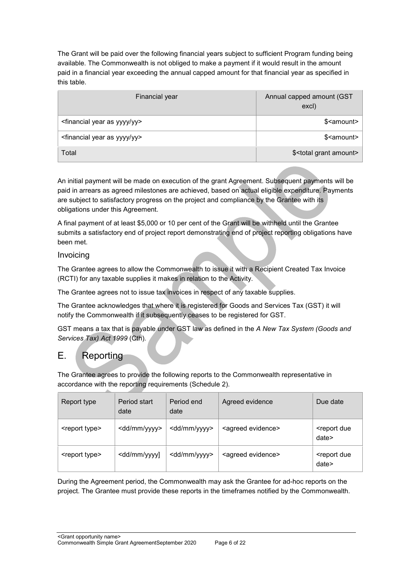The Grant will be paid over the following financial years subject to sufficient Program funding being available. The Commonwealth is not obliged to make a payment if it would result in the amount paid in a financial year exceeding the annual capped amount for that financial year as specified in this table.

| Financial year                                      | Annual capped amount (GST<br>excl)    |
|-----------------------------------------------------|---------------------------------------|
| <financial as="" year="" yy="" yyyy=""></financial> | \$ <amount></amount>                  |
| <financial as="" year="" yy="" yyyy=""></financial> | \$ <amount></amount>                  |
| Total                                               | \$ <total amount="" grant=""></total> |

An initial payment will be made on execution of the grant Agreement. Subsequent payments will be paid in arrears as agreed milestones are achieved, based on actual eligible expenditure. Payments are subject to satisfactory progress on the project and compliance by the Grantee with its obligations under this Agreement.

A final payment of at least \$5,000 or 10 per cent of the Grant will be withheld until the Grantee submits a satisfactory end of project report demonstrating end of project reporting obligations have been met.

#### Invoicing

The Grantee agrees to allow the Commonwealth to issue it with a Recipient Created Tax Invoice (RCTI) for any taxable supplies it makes in relation to the Activity.

The Grantee agrees not to issue tax invoices in respect of any taxable supplies.

The Grantee acknowledges that where it is registered for Goods and Services Tax (GST) it will notify the Commonwealth if it subsequently ceases to be registered for GST.

GST means a tax that is payable under GST law as defined in the *A New Tax System (Goods and Services Tax) Act 1999* (Cth)*.* 

## <span id="page-5-0"></span>E. Reporting

The Grantee agrees to provide the following reports to the Commonwealth representative in accordance with the reporting requirements (Schedule 2).

| Report type               | Period start<br>date                                                                                                                              | Period end<br>date      | Agreed evidence               | Due date                            |
|---------------------------|---------------------------------------------------------------------------------------------------------------------------------------------------|-------------------------|-------------------------------|-------------------------------------|
| <report type=""></report> | <dd mm="" yyyy=""></dd>                                                                                                                           | <dd mm="" yyyy=""></dd> | <agreed evidence=""></agreed> | <report due<br="">date&gt;</report> |
| <report type=""></report> | <dd mm="" td="" yyyy]<=""><td><dd mm="" yyyy=""></dd></td><td><agreed evidence=""></agreed></td><td><report due<br="">date&gt;</report></td></dd> | <dd mm="" yyyy=""></dd> | <agreed evidence=""></agreed> | <report due<br="">date&gt;</report> |

During the Agreement period, the Commonwealth may ask the Grantee for ad-hoc reports on the project. The Grantee must provide these reports in the timeframes notified by the Commonwealth.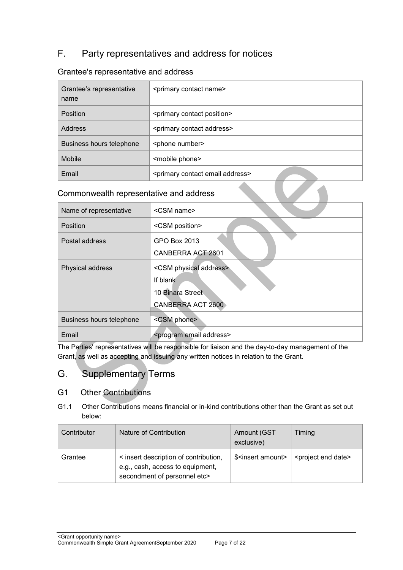## <span id="page-6-0"></span>F. Party representatives and address for notices

### Grantee's representative and address

| Grantee's representative<br>name | <primary contact="" name=""></primary>             |
|----------------------------------|----------------------------------------------------|
| Position                         | <primary contact="" position=""></primary>         |
| Address                          | <primary address="" contact=""></primary>          |
| Business hours telephone         | <phone number=""></phone>                          |
| <b>Mobile</b>                    | <mobile phone=""></mobile>                         |
| Email                            | <primary address="" contact="" email=""></primary> |

## Commonwealth representative and address

| Name of representative   | <csm name=""></csm>                     |  |  |
|--------------------------|-----------------------------------------|--|--|
|                          |                                         |  |  |
| Position                 | <csm position=""></csm>                 |  |  |
| Postal address           | GPO Box 2013                            |  |  |
|                          | CANBERRA ACT 2601                       |  |  |
| Physical address         | <csm address="" physical=""></csm>      |  |  |
|                          | If blank                                |  |  |
|                          | 10 Binara Street                        |  |  |
|                          | <b>CANBERRA ACT 2600</b>                |  |  |
| Business hours telephone | <csm phone=""></csm>                    |  |  |
| Email                    | <program address="" email=""></program> |  |  |

The Parties' representatives will be responsible for liaison and the day-to-day management of the Grant, as well as accepting and issuing any written notices in relation to the Grant.

## <span id="page-6-1"></span>G. Supplementary Terms

### G1 Other Contributions

G1.1 Other Contributions means financial or in-kind contributions other than the Grant as set out below:

| Contributor | Nature of Contribution                                                                                    | Amount (GST<br>exclusive)      | Timing                             |
|-------------|-----------------------------------------------------------------------------------------------------------|--------------------------------|------------------------------------|
| Grantee     | < insert description of contribution,<br>e.g., cash, access to equipment,<br>secondment of personnel etc> | \$ <insert amount=""></insert> | <project date="" end=""></project> |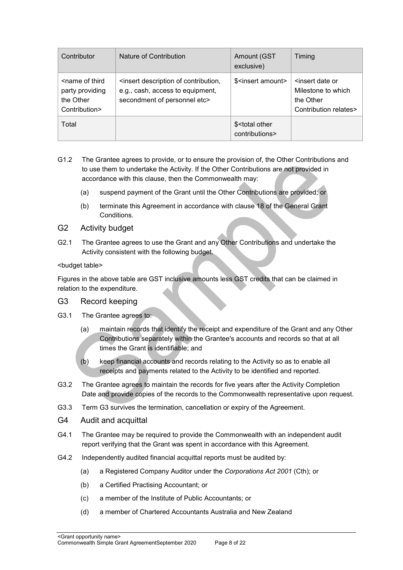| Contributor                                                                       | Nature of Contribution                                                                                                         | Amount (GST<br>exclusive)                       | Timing                                                                                          |
|-----------------------------------------------------------------------------------|--------------------------------------------------------------------------------------------------------------------------------|-------------------------------------------------|-------------------------------------------------------------------------------------------------|
| <name of="" third<br="">party providing<br/>the Other<br/>Contribution&gt;</name> | <insert contribution,<br="" description="" of="">e.g., cash, access to equipment,<br/>secondment of personnel etc&gt;</insert> | \$ <insert amount=""></insert>                  | <insert date="" or<br="">Milestone to which<br/>the Other<br/>Contribution relates&gt;</insert> |
| Total                                                                             |                                                                                                                                | \$ <total other<br="">contributions&gt;</total> |                                                                                                 |

- G1.2 The Grantee agrees to provide, or to ensure the provision of, the Other Contributions and to use them to undertake the Activity. If the Other Contributions are not provided in accordance with this clause, then the Commonwealth may:
	- (a) suspend payment of the Grant until the Other Contributions are provided; or
	- (b) terminate this Agreement in accordance with clause 18 of the General Grant **Conditions**
- G2 Activity budget
- G2.1 The Grantee agrees to use the Grant and any Other Contributions and undertake the Activity consistent with the following budget.

#### <budget table>

Figures in the above table are GST inclusive amounts less GST credits that can be claimed in relation to the expenditure.

#### G3 Record keeping

- G3.1 The Grantee agrees to:
	- (a) maintain records that identify the receipt and expenditure of the Grant and any Other Contributions separately within the Grantee's accounts and records so that at all times the Grant is identifiable; and
	- (b) keep financial accounts and records relating to the Activity so as to enable all receipts and payments related to the Activity to be identified and reported.
- G3.2 The Grantee agrees to maintain the records for five years after the Activity Completion Date and provide copies of the records to the Commonwealth representative upon request.
- G3.3 Term G3 survives the termination, cancellation or expiry of the Agreement.
- G4 Audit and acquittal
- G4.1 The Grantee may be required to provide the Commonwealth with an independent audit report verifying that the Grant was spent in accordance with this Agreement.
- G4.2 Independently audited financial acquittal reports must be audited by:
	- (a) a Registered Company Auditor under the *Corporations Act 2001* (Cth); or
	- (b) a Certified Practising Accountant; or
	- (c) a member of the Institute of Public Accountants; or
	- (d) a member of Chartered Accountants Australia and New Zealand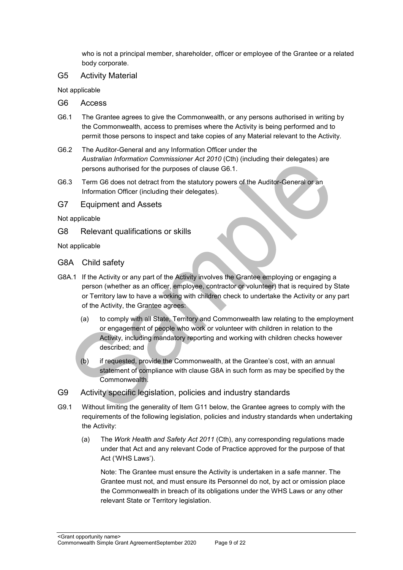who is not a principal member, shareholder, officer or employee of the Grantee or a related body corporate.

#### G5 Activity Material

Not applicable

- G6 Access
- G6.1 The Grantee agrees to give the Commonwealth, or any persons authorised in writing by the Commonwealth, access to premises where the Activity is being performed and to permit those persons to inspect and take copies of any Material relevant to the Activity.
- G6.2 The Auditor-General and any Information Officer under the *Australian Information Commissioner Act 2010* (Cth) (including their delegates) are persons authorised for the purposes of clause G6.1.
- G6.3 Term G6 does not detract from the statutory powers of the Auditor-General or an Information Officer (including their delegates).

G7 Equipment and Assets

Not applicable

G8 Relevant qualifications or skills

Not applicable

- G8A Child safety
- G8A.1 If the Activity or any part of the Activity involves the Grantee employing or engaging a person (whether as an officer, employee, contractor or volunteer) that is required by State or Territory law to have a working with children check to undertake the Activity or any part of the Activity, the Grantee agrees:
	- (a) to comply with all State, Territory and Commonwealth law relating to the employment or engagement of people who work or volunteer with children in relation to the Activity, including mandatory reporting and working with children checks however described; and
	- (b) if requested, provide the Commonwealth, at the Grantee's cost, with an annual statement of compliance with clause G8A in such form as may be specified by the Commonwealth.
- G9 Activity specific legislation, policies and industry standards
- G9.1 Without limiting the generality of Item G11 below, the Grantee agrees to comply with the requirements of the following legislation, policies and industry standards when undertaking the Activity:
	- (a) The *Work Health and Safety Act 2011* (Cth), any corresponding regulations made under that Act and any relevant Code of Practice approved for the purpose of that Act ('WHS Laws').

Note: The Grantee must ensure the Activity is undertaken in a safe manner. The Grantee must not, and must ensure its Personnel do not, by act or omission place the Commonwealth in breach of its obligations under the WHS Laws or any other relevant State or Territory legislation.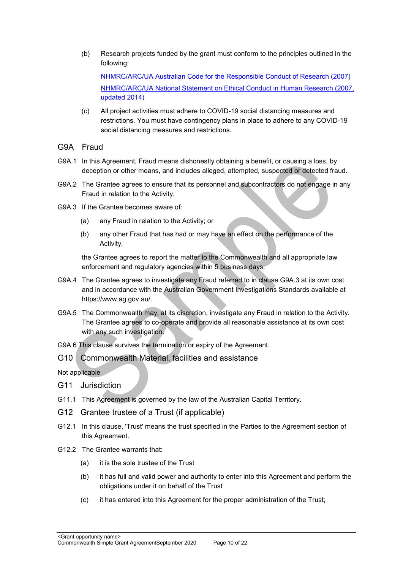(b) Research projects funded by the grant must conform to the principles outlined in the following:

[NHMRC/ARC/UA Australian Code for the Responsible Conduct of Research \(2007\)](https://www.nhmrc.gov.au/guidelines-publications/r39) [NHMRC/ARC/UA National Statement on Ethical Conduct in Human Research \(2007,](https://www.nhmrc.gov.au/guidelines-publications/e72)  [updated 2014\)](https://www.nhmrc.gov.au/guidelines-publications/e72) 

- (c) All project activities must adhere to COVID-19 social distancing measures and restrictions. You must have contingency plans in place to adhere to any COVID-19 social distancing measures and restrictions.
- G9A Fraud
- G9A.1 In this Agreement, Fraud means dishonestly obtaining a benefit, or causing a loss, by deception or other means, and includes alleged, attempted, suspected or detected fraud.
- G9A.2 The Grantee agrees to ensure that its personnel and subcontractors do not engage in any Fraud in relation to the Activity.
- G9A.3 If the Grantee becomes aware of:
	- (a) any Fraud in relation to the Activity; or
	- (b) any other Fraud that has had or may have an effect on the performance of the Activity,

the Grantee agrees to report the matter to the Commonwealth and all appropriate law enforcement and regulatory agencies within 5 business days.

- G9A.4 The Grantee agrees to investigate any Fraud referred to in clause G9A.3 at its own cost and in accordance with the Australian Government Investigations Standards available at [https://www.ag.gov.au/.](https://www.ag.gov.au/)
- G9A.5 The Commonwealth may, at its discretion, investigate any Fraud in relation to the Activity. The Grantee agrees to co-operate and provide all reasonable assistance at its own cost with any such investigation.

G9A.6 This clause survives the termination or expiry of the Agreement.

G10 Commonwealth Material, facilities and assistance

Not applicable

- G11 Jurisdiction
- G11.1 This Agreement is governed by the law of the Australian Capital Territory.
- G12 Grantee trustee of a Trust (if applicable)
- G12.1 In this clause, 'Trust' means the trust specified in the Parties to the Agreement section of this Agreement.
- G12.2 The Grantee warrants that:
	- (a) it is the sole trustee of the Trust
	- (b) it has full and valid power and authority to enter into this Agreement and perform the obligations under it on behalf of the Trust
	- (c) it has entered into this Agreement for the proper administration of the Trust;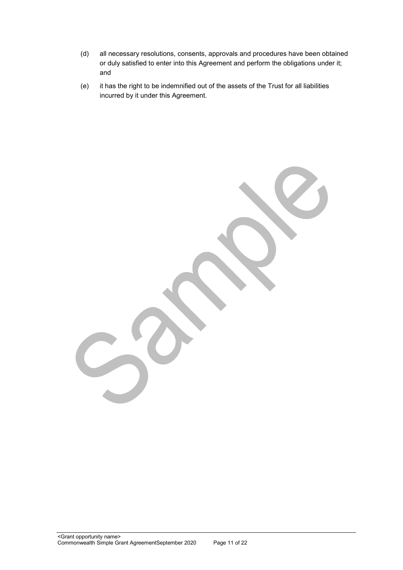- (d) all necessary resolutions, consents, approvals and procedures have been obtained or duly satisfied to enter into this Agreement and perform the obligations under it; and
- (e) it has the right to be indemnified out of the assets of the Trust for all liabilities incurred by it under this Agreement.

<Grant opportunity name> Commonwealth Simple Grant AgreementSeptember 2020 Page 11 of 22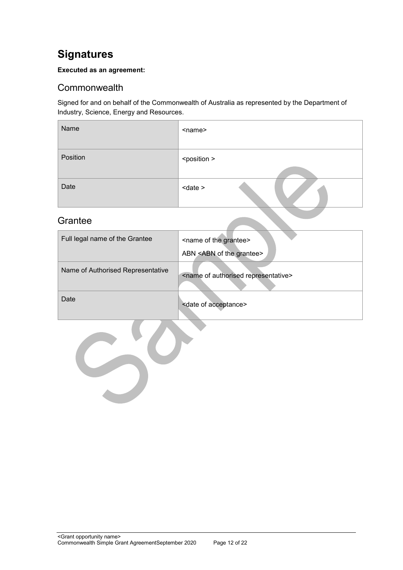## <span id="page-11-0"></span>**Signatures**

#### **Executed as an agreement:**

## <span id="page-11-1"></span>**Commonwealth**

Signed for and on behalf of the Commonwealth of Australia as represented by the Department of Industry, Science, Energy and Resources.

| Name     | <name></name>         |
|----------|-----------------------|
| Position | <position></position> |
| Date     | $<$ date $>$          |

## <span id="page-11-2"></span>**Grantee**

| Full legal name of the Grantee    | <name grantee="" of="" the=""><br/>ABN <abn grantee="" of="" the=""></abn></name> |
|-----------------------------------|-----------------------------------------------------------------------------------|
| Name of Authorised Representative | <name authorised="" of="" representative=""></name>                               |
| Date                              | <date acceptance="" of=""></date>                                                 |
|                                   |                                                                                   |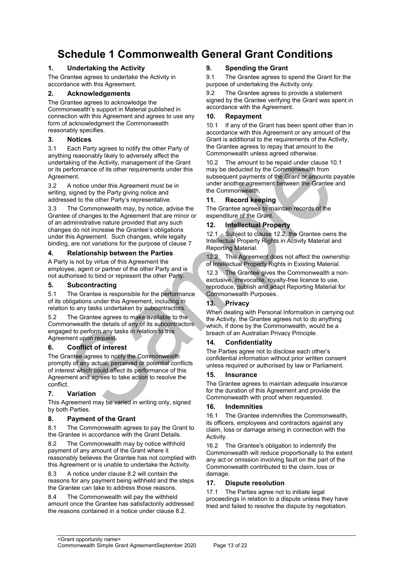## <span id="page-12-0"></span>**Schedule 1 Commonwealth General Grant Conditions**

#### **1. Undertaking the Activity**

The Grantee agrees to undertake the Activity in accordance with this Agreement.

#### **2. Acknowledgements**

The Grantee agrees to acknowledge the Commonwealth's support in Material published in connection with this Agreement and agrees to use any form of acknowledgment the Commonwealth reasonably specifies.

#### **3. Notices**

3.1 Each Party agrees to notify the other Party of anything reasonably likely to adversely affect the undertaking of the Activity, management of the Grant or its performance of its other requirements under this Agreement.

3.2 A notice under this Agreement must be in writing, signed by the Party giving notice and addressed to the other Party's representative.

3.3 The Commonwealth may, by notice, advise the Grantee of changes to the Agreement that are minor or of an administrative nature provided that any such changes do not increase the Grantee's obligations under this Agreement. Such changes, while legally binding, are not variations for the purpose of clause 7

#### **4. Relationship between the Parties**

A Party is not by virtue of this Agreement the employee, agent or partner of the other Party and is not authorised to bind or represent the other Party.

#### **5. Subcontracting**

5.1 The Grantee is responsible for the performance of its obligations under this Agreement, including in relation to any tasks undertaken by subcontractors.

5.2 The Grantee agrees to make available to the Commonwealth the details of any of its subcontractors engaged to perform any tasks in relation to this Agreement upon request.

#### **6. Conflict of interest**

The Grantee agrees to notify the Commonwealth promptly of any actual, perceived or potential conflicts of interest which could affect its performance of this Agreement and agrees to take action to resolve the conflict.

#### **7. Variation**

This Agreement may be varied in writing only, signed by both Parties.

#### **8. Payment of the Grant**

8.1 The Commonwealth agrees to pay the Grant to the Grantee in accordance with the Grant Details.

8.2 The Commonwealth may by notice withhold payment of any amount of the Grant where it reasonably believes the Grantee has not complied with this Agreement or is unable to undertake the Activity.

8.3 A notice under clause 8.2 will contain the reasons for any payment being withheld and the steps the Grantee can take to address those reasons.

8.4 The Commonwealth will pay the withheld amount once the Grantee has satisfactorily addressed the reasons contained in a notice under clause 8.2.

#### **9. Spending the Grant**

9.1 The Grantee agrees to spend the Grant for the purpose of undertaking the Activity only.

9.2 The Grantee agrees to provide a statement signed by the Grantee verifying the Grant was spent in accordance with the Agreement.

#### **10. Repayment**

10.1 If any of the Grant has been spent other than in accordance with this Agreement or any amount of the Grant is additional to the requirements of the Activity, the Grantee agrees to repay that amount to the Commonwealth unless agreed otherwise.

10.2 The amount to be repaid under clause 10.1 may be deducted by the Commonwealth from subsequent payments of the Grant or amounts payable under another agreement between the Grantee and the Commonwealth.

#### **11. Record keeping**

The Grantee agrees to maintain records of the expenditure of the Grant.

#### **12. Intellectual Property**

12.1 Subject to clause 12.2, the Grantee owns the Intellectual Property Rights in Activity Material and Reporting Material.

12.2 This Agreement does not affect the ownership of Intellectual Property Rights in Existing Material.

12.3 The Grantee gives the Commonwealth a nonexclusive, irrevocable, royalty-free licence to use, reproduce, publish and adapt Reporting Material for Commonwealth Purposes.

#### **13. Privacy**

When dealing with Personal Information in carrying out the Activity, the Grantee agrees not to do anything which, if done by the Commonwealth, would be a breach of an Australian Privacy Principle.

#### **14. Confidentiality**

The Parties agree not to disclose each other's confidential information without prior written consent unless required or authorised by law or Parliament.

#### **15. Insurance**

The Grantee agrees to maintain adequate insurance for the duration of this Agreement and provide the Commonwealth with proof when requested.

#### **16. Indemnities**

16.1 The Grantee indemnifies the Commonwealth, its officers, employees and contractors against any claim, loss or damage arising in connection with the Activity.

16.2 The Grantee's obligation to indemnify the Commonwealth will reduce proportionally to the extent any act or omission involving fault on the part of the Commonwealth contributed to the claim, loss or damage.

#### **17. Dispute resolution**

17.1 The Parties agree not to initiate legal proceedings in relation to a dispute unless they have tried and failed to resolve the dispute by negotiation.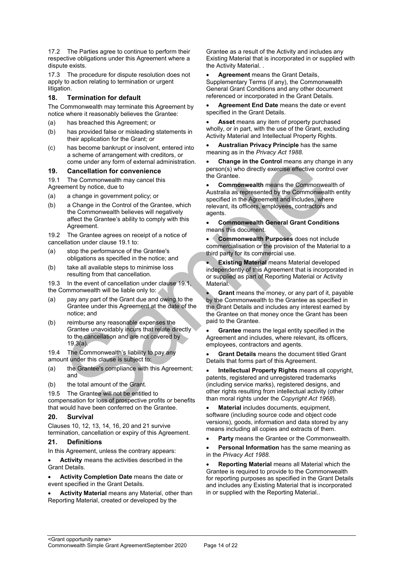17.2 The Parties agree to continue to perform their respective obligations under this Agreement where a dispute exists.

17.3 The procedure for dispute resolution does not apply to action relating to termination or urgent litigation.

#### **18. Termination for default**

The Commonwealth may terminate this Agreement by notice where it reasonably believes the Grantee:

- (a) has breached this Agreement; or
- (b) has provided false or misleading statements in their application for the Grant; or
- (c) has become bankrupt or insolvent, entered into a scheme of arrangement with creditors, or come under any form of external administration.

#### **19. Cancellation for convenience**

19.1 The Commonwealth may cancel this

Agreement by notice, due to

- (a) a change in government policy; or
- (b) a Change in the Control of the Grantee, which the Commonwealth believes will negatively affect the Grantee's ability to comply with this Agreement.

19.2 The Grantee agrees on receipt of a notice of cancellation under clause 19.1 to:

- (a) stop the performance of the Grantee's obligations as specified in the notice; and
- (b) take all available steps to minimise loss resulting from that cancellation.

19.3 In the event of cancellation under clause 19.1, the Commonwealth will be liable only to:

- (a) pay any part of the Grant due and owing to the Grantee under this Agreement at the date of the notice; and
- (b) reimburse any reasonable expenses the Grantee unavoidably incurs that relate directly to the cancellation and are not covered by 19.3(a).

19.4 The Commonwealth's liability to pay any amount under this clause is subject to:

- (a) the Grantee's compliance with this Agreement: and
- (b) the total amount of the Grant.

19.5 The Grantee will not be entitled to

compensation for loss of prospective profits or benefits that would have been conferred on the Grantee.

#### **20. Survival**

Clauses 10, 12, 13, 14, 16, 20 and 21 survive termination, cancellation or expiry of this Agreement.

#### **21. Definitions**

In this Agreement, unless the contrary appears:

 **Activity** means the activities described in the Grant Details.

- **Activity Completion Date** means the date or event specified in the Grant Details.
- **Activity Material** means any Material, other than Reporting Material, created or developed by the

Grantee as a result of the Activity and includes any Existing Material that is incorporated in or supplied with the Activity Material. .

 **Agreement** means the Grant Details, Supplementary Terms (if any), the Commonwealth General Grant Conditions and any other document referenced or incorporated in the Grant Details.

 **Agreement End Date** means the date or event specified in the Grant Details.

 **Asset** means any item of property purchased wholly, or in part, with the use of the Grant, excluding Activity Material and Intellectual Property Rights.

 **Australian Privacy Principle** has the same meaning as in the *Privacy Act 1988.*

 **Change in the Control** means any change in any person(s) who directly exercise effective control over the Grantee.

 **Commonwealth** means the Commonwealth of Australia as represented by the Commonwealth entity specified in the Agreement and includes, where relevant, its officers, employees, contractors and agents.

 **Commonwealth General Grant Conditions** means this document.

 **Commonwealth Purposes** does not include commercialisation or the provision of the Material to a third party for its commercial use.

 **Existing Material** means Material developed independently of this Agreement that is incorporated in or supplied as part of Reporting Material or Activity Material.

 **Grant** means the money, or any part of it, payable by the Commonwealth to the Grantee as specified in the Grant Details and includes any interest earned by the Grantee on that money once the Grant has been paid to the Grantee.

 **Grantee** means the legal entity specified in the Agreement and includes, where relevant, its officers, employees, contractors and agents.

 **Grant Details** means the document titled Grant Details that forms part of this Agreement.

 **Intellectual Property Rights** means all copyright, patents, registered and unregistered trademarks (including service marks), registered designs, and other rights resulting from intellectual activity (other than moral rights under the *Copyright Act 1968*).

 **Material** includes documents, equipment, software (including source code and object code versions), goods, information and data stored by any means including all copies and extracts of them.

**Party** means the Grantee or the Commonwealth.

 **Personal Information** has the same meaning as in the *Privacy Act 1988.*

 **Reporting Material** means all Material which the Grantee is required to provide to the Commonwealth for reporting purposes as specified in the Grant Details and includes any Existing Material that is incorporated in or supplied with the Reporting Material..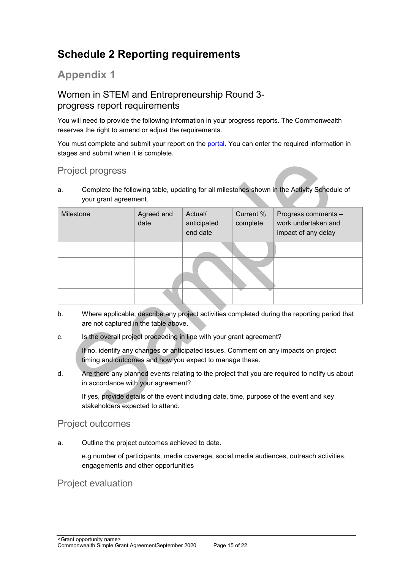## <span id="page-14-0"></span>**Schedule 2 Reporting requirements**

## **Appendix 1**

## Women in STEM and Entrepreneurship Round 3 progress report requirements

You will need to provide the following information in your progress reports. The Commonwealth reserves the right to amend or adjust the requirements.

You must complete and submit your report on the [portal.](https://portal.business.gov.au/) You can enter the required information in stages and submit when it is complete.

## Project progress

a. Complete the following table, updating for all milestones shown in the Activity Schedule of your grant agreement.

| Milestone | Agreed end<br>date | Actual/<br>anticipated<br>end date | Current %<br>complete | Progress comments -<br>work undertaken and<br>impact of any delay |
|-----------|--------------------|------------------------------------|-----------------------|-------------------------------------------------------------------|
|           |                    |                                    |                       |                                                                   |
|           |                    |                                    |                       |                                                                   |

- b. Where applicable, describe any project activities completed during the reporting period that are not captured in the table above.
- c. Is the overall project proceeding in line with your grant agreement?

If no, identify any changes or anticipated issues. Comment on any impacts on project timing and outcomes and how you expect to manage these.

d. Are there any planned events relating to the project that you are required to notify us about in accordance with your agreement?

If yes, provide details of the event including date, time, purpose of the event and key stakeholders expected to attend.

## Project outcomes

a. Outline the project outcomes achieved to date.

e.g number of participants, media coverage, social media audiences, outreach activities, engagements and other opportunities

## Project evaluation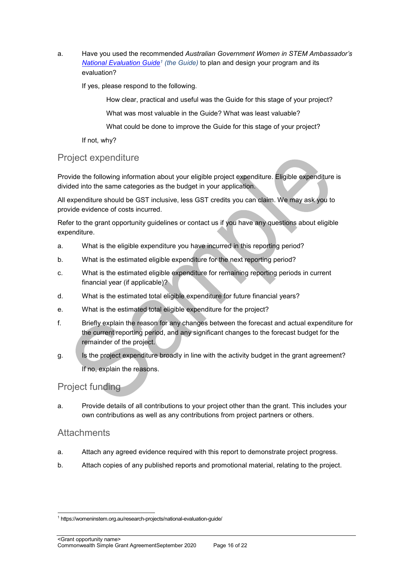a. Have you used the recommended *Australian Government Women in STEM Ambassador's [National Evaluation Guide](https://womeninstem.org.au/research-projects/national-evaluation-guide/)<sup>1</sup> (the Guide)* to plan and design your program and its evaluation?

If yes, please respond to the following.

How clear, practical and useful was the Guide for this stage of your project?

What was most valuable in the Guide? What was least valuable?

What could be done to improve the Guide for this stage of your project?

If not, why?

## Project expenditure

Provide the following information about your eligible project expenditure. Eligible expenditure is divided into the same categories as the budget in your application.

All expenditure should be GST inclusive, less GST credits you can claim. We may ask you to provide evidence of costs incurred.

Refer to the grant opportunity guidelines or contact us if you have any questions about eligible expenditure.

- a. What is the eligible expenditure you have incurred in this reporting period?
- b. What is the estimated eligible expenditure for the next reporting period?
- c. What is the estimated eligible expenditure for remaining reporting periods in current financial year (if applicable)?
- d. What is the estimated total eligible expenditure for future financial years?
- e. What is the estimated total eligible expenditure for the project?
- f. Briefly explain the reason for any changes between the forecast and actual expenditure for the current reporting period, and any significant changes to the forecast budget for the remainder of the project.
- g. Is the project expenditure broadly in line with the activity budget in the grant agreement? If no, explain the reasons.

## Project funding

a. Provide details of all contributions to your project other than the grant. This includes your own contributions as well as any contributions from project partners or others.

### **Attachments**

1

- a. Attach any agreed evidence required with this report to demonstrate project progress.
- b. Attach copies of any published reports and promotional material, relating to the project.

<sup>1</sup> https://womeninstem.org.au/research-projects/national-evaluation-guide/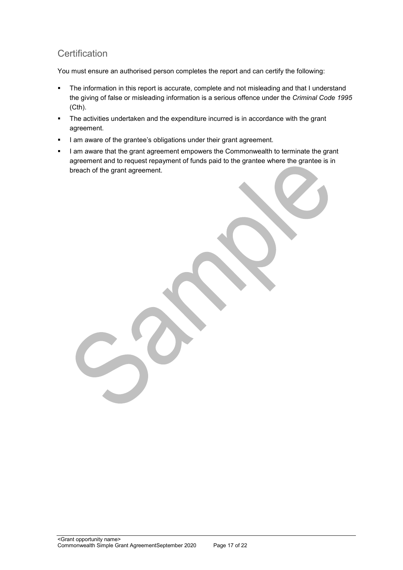## **Certification**

You must ensure an authorised person completes the report and can certify the following:

- The information in this report is accurate, complete and not misleading and that I understand the giving of false or misleading information is a serious offence under the *Criminal Code 1995* (Cth).
- The activities undertaken and the expenditure incurred is in accordance with the grant agreement.
- I am aware of the grantee's obligations under their grant agreement.
- I am aware that the grant agreement empowers the Commonwealth to terminate the grant agreement and to request repayment of funds paid to the grantee where the grantee is in breach of the grant agreement.

<Grant opportunity name> Commonwealth Simple Grant AgreementSeptember 2020 Page 17 of 22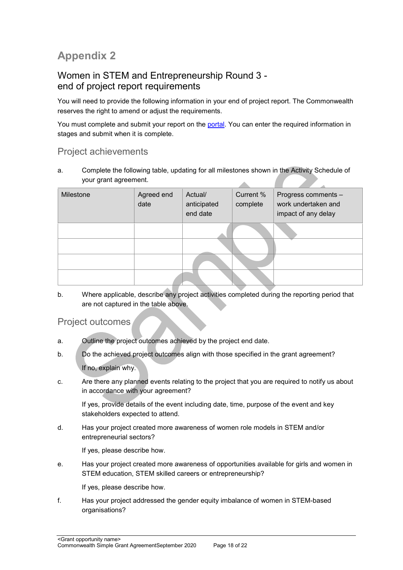## **Appendix 2**

## Women in STEM and Entrepreneurship Round 3 end of project report requirements

You will need to provide the following information in your end of project report. The Commonwealth reserves the right to amend or adjust the requirements.

You must complete and submit your report on the [portal.](https://portal.business.gov.au/) You can enter the required information in stages and submit when it is complete.

## Project achievements

a. Complete the following table, updating for all milestones shown in the Activity Schedule of your grant agreement. A

| Milestone | Agreed end<br>date | Actual/<br>anticipated<br>end date | Current %<br>complete | Progress comments -<br>work undertaken and<br>impact of any delay |
|-----------|--------------------|------------------------------------|-----------------------|-------------------------------------------------------------------|
|           |                    |                                    |                       |                                                                   |
|           |                    |                                    |                       |                                                                   |
|           |                    |                                    |                       |                                                                   |
|           |                    |                                    |                       |                                                                   |

b. Where applicable, describe any project activities completed during the reporting period that are not captured in the table above.

Project outcomes

- a. Outline the project outcomes achieved by the project end date.
- b. Do the achieved project outcomes align with those specified in the grant agreement? If no, explain why.
- c. Are there any planned events relating to the project that you are required to notify us about in accordance with your agreement?

If yes, provide details of the event including date, time, purpose of the event and key stakeholders expected to attend.

d. Has your project created more awareness of women role models in STEM and/or entrepreneurial sectors?

If yes, please describe how.

e. Has your project created more awareness of opportunities available for girls and women in STEM education, STEM skilled careers or entrepreneurship?

If yes, please describe how.

f. Has your project addressed the gender equity imbalance of women in STEM-based organisations?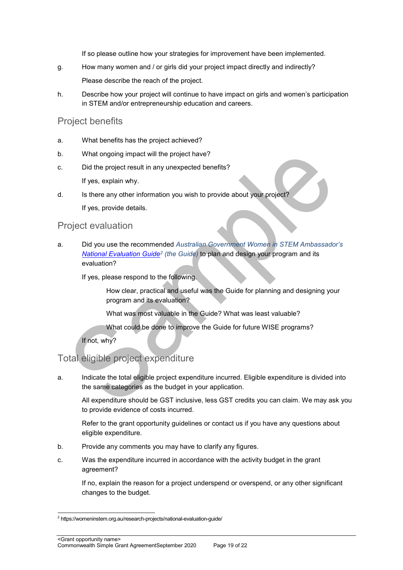If so please outline how your strategies for improvement have been implemented.

g. How many women and / or girls did your project impact directly and indirectly?

Please describe the reach of the project.

h. Describe how your project will continue to have impact on girls and women's participation in STEM and/or entrepreneurship education and careers.

## Project benefits

- a. What benefits has the project achieved?
- b. What ongoing impact will the project have?
- c. Did the project result in any unexpected benefits? If yes, explain why.
- d. Is there any other information you wish to provide about your project? If yes, provide details.

## Project evaluation

a. Did you use the recommended *Australian Government Women in STEM Ambassador's [National Evaluation Guide](https://womeninstem.org.au/research-projects/national-evaluation-guide/)<sup>2</sup> (the Guide)* to plan and design your program and its evaluation?

If yes, please respond to the following.

How clear, practical and useful was the Guide for planning and designing your program and its evaluation?

What was most valuable in the Guide? What was least valuable?

What could be done to improve the Guide for future WISE programs?

If not, why?

1

## Total eligible project expenditure

a. Indicate the total eligible project expenditure incurred. Eligible expenditure is divided into the same categories as the budget in your application.

All expenditure should be GST inclusive, less GST credits you can claim. We may ask you to provide evidence of costs incurred.

Refer to the grant opportunity guidelines or contact us if you have any questions about eligible expenditure.

- b. Provide any comments you may have to clarify any figures.
- c. Was the expenditure incurred in accordance with the activity budget in the grant agreement?

If no, explain the reason for a project underspend or overspend, or any other significant changes to the budget.

<sup>&</sup>lt;sup>2</sup> https://womeninstem.org.au/research-projects/national-evaluation-guide/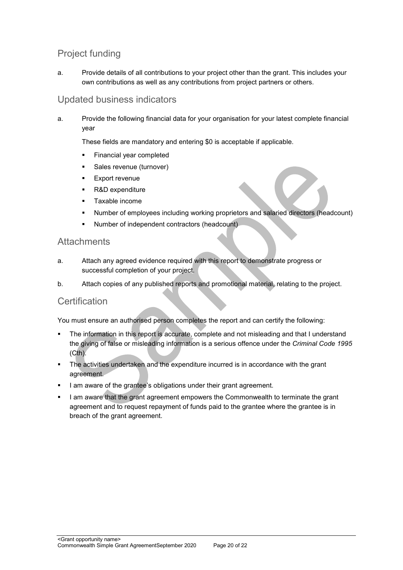## Project funding

a. Provide details of all contributions to your project other than the grant. This includes your own contributions as well as any contributions from project partners or others.

## Updated business indicators

a. Provide the following financial data for your organisation for your latest complete financial year

These fields are mandatory and entering \$0 is acceptable if applicable.

- **Financial year completed**
- **Sales revenue (turnover)**
- **Export revenue**
- R&D expenditure
- **Taxable income**
- Number of employees including working proprietors and salaried directors (headcount)
- Number of independent contractors (headcount)

## **Attachments**

- a. Attach any agreed evidence required with this report to demonstrate progress or successful completion of your project.
- b. Attach copies of any published reports and promotional material, relating to the project.

## **Certification**

You must ensure an authorised person completes the report and can certify the following:

- The information in this report is accurate, complete and not misleading and that I understand the giving of false or misleading information is a serious offence under the *Criminal Code 1995* (Cth).
- The activities undertaken and the expenditure incurred is in accordance with the grant agreement.
- I am aware of the grantee's obligations under their grant agreement.
- I am aware that the grant agreement empowers the Commonwealth to terminate the grant agreement and to request repayment of funds paid to the grantee where the grantee is in breach of the grant agreement.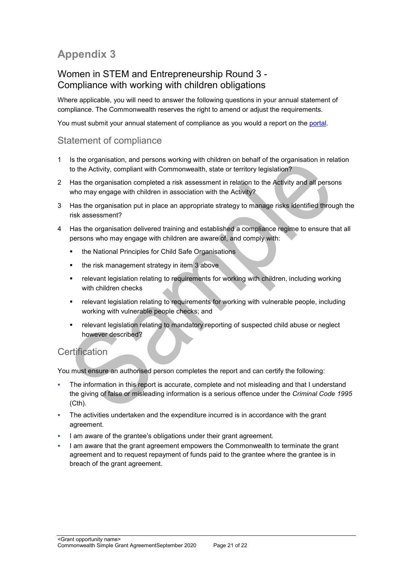## **Appendix 3**

## Women in STEM and Entrepreneurship Round 3 - Compliance with working with children obligations

Where applicable, you will need to answer the following questions in your annual statement of compliance. The Commonwealth reserves the right to amend or adjust the requirements.

You must submit your annual statement of compliance as you would a report on the [portal.](https://portal.business.gov.au/)

## Statement of compliance

- 1 Is the organisation, and persons working with children on behalf of the organisation in relation to the Activity, compliant with Commonwealth, state or territory legislation?
- 2 Has the organisation completed a risk assessment in relation to the Activity and all persons who may engage with children in association with the Activity?
- 3 Has the organisation put in place an appropriate strategy to manage risks identified through the risk assessment?
- 4 Has the organisation delivered training and established a compliance regime to ensure that all persons who may engage with children are aware of, and comply with:
	- **the National Principles for Child Safe Organisations**
	- $\blacksquare$  the risk management strategy in item 3 above
	- relevant legislation relating to requirements for working with children, including working with children checks
	- relevant legislation relating to requirements for working with vulnerable people, including working with vulnerable people checks; and
	- relevant legislation relating to mandatory reporting of suspected child abuse or neglect however described?

## **Certification**

You must ensure an authorised person completes the report and can certify the following:

- The information in this report is accurate, complete and not misleading and that I understand the giving of false or misleading information is a serious offence under the *Criminal Code 1995* (Cth).
- The activities undertaken and the expenditure incurred is in accordance with the grant agreement.
- I am aware of the grantee's obligations under their grant agreement.
- I am aware that the grant agreement empowers the Commonwealth to terminate the grant agreement and to request repayment of funds paid to the grantee where the grantee is in breach of the grant agreement.